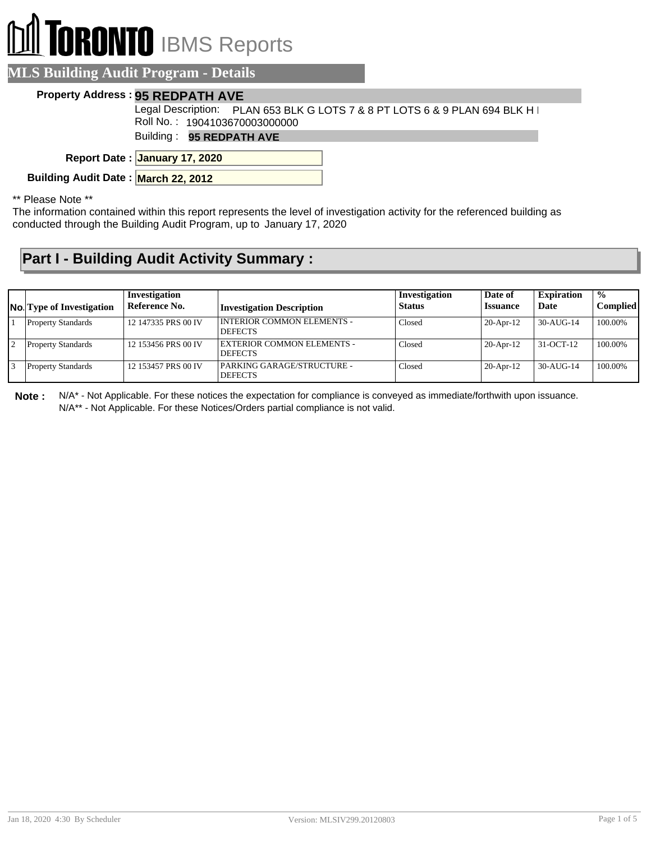# **RONTO** IBMS Reports

#### **MLS Building Audit Program - Details**

#### **Property Address : 95 REDPATH AVE**

Legal Description: PLAN 653 BLK G LOTS 7 & 8 PT LOTS 6 & 9 PLAN 694 BLK H I Roll No. : 1904103670003000000

Building : **95 REDPATH AVE**

**January 17, 2020 Report Date :**

**Building Audit Date : March 22, 2012**

\*\* Please Note \*\*

The information contained within this report represents the level of investigation activity for the referenced building as conducted through the Building Audit Program, up to January 17, 2020

### **Part I - Building Audit Activity Summary :**

| <b>No.</b> Type of Investigation | Investigation<br>Reference No. | <b>Investigation Description</b>               | Investigation<br><b>Status</b> | Date of<br><b>Issuance</b> | <b>Expiration</b><br>Date | $\frac{1}{2}$<br><b>Complied</b> |
|----------------------------------|--------------------------------|------------------------------------------------|--------------------------------|----------------------------|---------------------------|----------------------------------|
| <b>Property Standards</b>        | 12 147335 PRS 00 IV            | I INTERIOR COMMON ELEMENTS -<br><b>DEFECTS</b> | Closed                         | $20-Apr-12$                | 30-AUG-14                 | 100.00%                          |
| <b>Property Standards</b>        | 12 153456 PRS 00 IV            | EXTERIOR COMMON ELEMENTS -<br><b>DEFECTS</b>   | Closed                         | $20-Apr-12$                | 31-OCT-12                 | 100.00%                          |
| <b>Property Standards</b>        | 12 153457 PRS 00 IV            | PARKING GARAGE/STRUCTURE -<br><b>DEFECTS</b>   | Closed                         | $20-Apr-12$                | $30-AU$ G-14              | 100.00%                          |

**Note :** N/A\* - Not Applicable. For these notices the expectation for compliance is conveyed as immediate/forthwith upon issuance. N/A\*\* - Not Applicable. For these Notices/Orders partial compliance is not valid.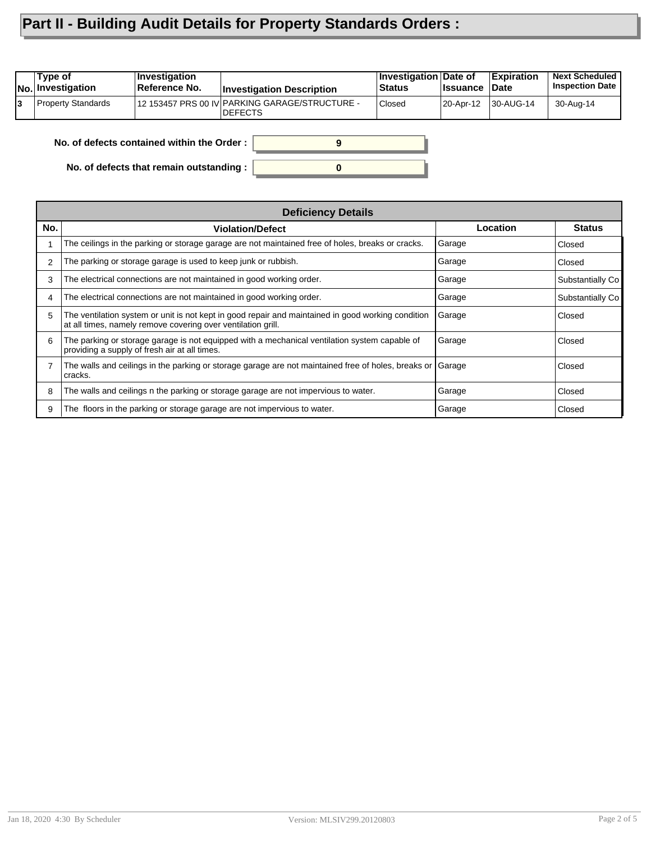## **Part II - Building Audit Details for Property Standards Orders :**

| 12 153457 PRS 00 IV PARKING GARAGE/STRUCTURE -<br><b>Property Standards</b><br>Closed<br>130-AUG-14<br>20-Apr-12 | Type of<br>No. Investigation | <b>Investigation</b><br>Reference No. | <b>Investigation Description</b> | Investigation Date of<br>Status | <b>Issuance</b> | <b>Expiration</b><br>Date | <b>Next Scheduled</b><br><b>Inspection Date</b> |
|------------------------------------------------------------------------------------------------------------------|------------------------------|---------------------------------------|----------------------------------|---------------------------------|-----------------|---------------------------|-------------------------------------------------|
|                                                                                                                  |                              |                                       | <b>DEFECTS</b>                   |                                 |                 |                           | 30-Aug-14                                       |

**0**

**9**

**No. of defects contained within the Order :**

**No. of defects that remain outstanding :**

| <b>Deficiency Details</b> |                                                                                                                                                                    |          |                  |  |  |  |
|---------------------------|--------------------------------------------------------------------------------------------------------------------------------------------------------------------|----------|------------------|--|--|--|
| No.                       | <b>Violation/Defect</b>                                                                                                                                            | Location | <b>Status</b>    |  |  |  |
|                           | The ceilings in the parking or storage garage are not maintained free of holes, breaks or cracks.                                                                  | Garage   | Closed           |  |  |  |
|                           | The parking or storage garage is used to keep junk or rubbish.                                                                                                     | Garage   | Closed           |  |  |  |
| 3                         | The electrical connections are not maintained in good working order.                                                                                               | Garage   | Substantially Co |  |  |  |
|                           | The electrical connections are not maintained in good working order.                                                                                               | Garage   | Substantially Co |  |  |  |
| 5.                        | The ventilation system or unit is not kept in good repair and maintained in good working condition<br>at all times, namely remove covering over ventilation grill. | Garage   | Closed           |  |  |  |
| 6                         | The parking or storage garage is not equipped with a mechanical ventilation system capable of<br>providing a supply of fresh air at all times.                     | Garage   | Closed           |  |  |  |
|                           | The walls and ceilings in the parking or storage garage are not maintained free of holes, breaks or<br>cracks.                                                     | Garage   | Closed           |  |  |  |
| 8                         | The walls and ceilings n the parking or storage garage are not impervious to water.                                                                                | Garage   | Closed           |  |  |  |
| 9                         | The floors in the parking or storage garage are not impervious to water.                                                                                           | Garage   | Closed           |  |  |  |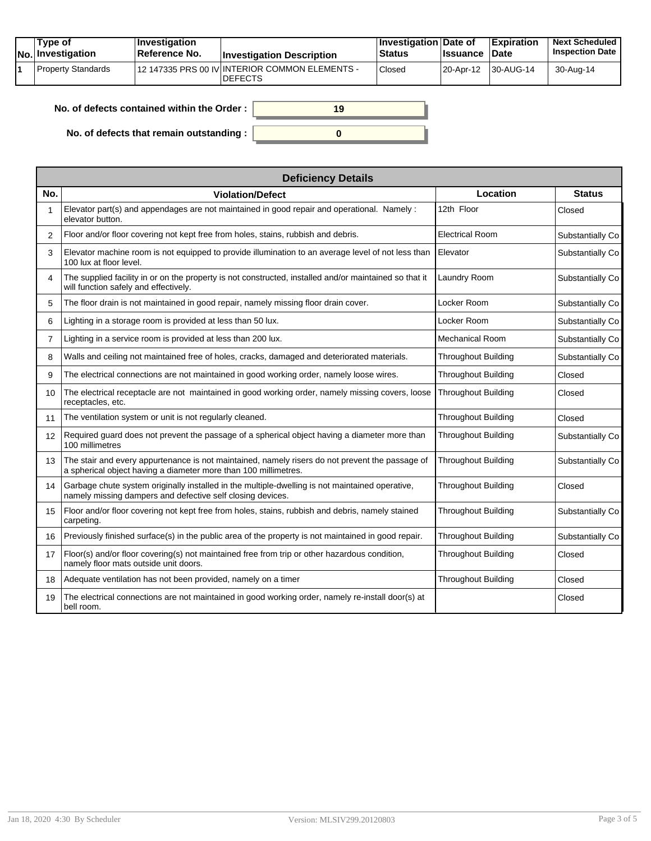|  | Tvpe of<br><b>No.</b> Investigation | $\vert$ Investigation<br>∣Reference No. | <b>Investigation Description</b>                                 | <b>∣Investigation Date of</b><br><b>Status</b> | <b>Issuance Date</b> | <b>Expiration</b> | <b>Next Scheduled</b><br><b>Inspection Date</b> |
|--|-------------------------------------|-----------------------------------------|------------------------------------------------------------------|------------------------------------------------|----------------------|-------------------|-------------------------------------------------|
|  | <b>Property Standards</b>           |                                         | 12 147335 PRS 00 IV INTERIOR COMMON ELEMENTS -<br><b>DEFECTS</b> | Closed                                         | 20-Apr-12            | 130-AUG-14        | 30-Aug-14                                       |

| No. of defects contained within the Order: | 19 |
|--------------------------------------------|----|
| No. of defects that remain outstanding :   |    |

| <b>Deficiency Details</b> |                                                                                                                                                                    |                            |                  |  |  |  |
|---------------------------|--------------------------------------------------------------------------------------------------------------------------------------------------------------------|----------------------------|------------------|--|--|--|
| No.                       | <b>Violation/Defect</b>                                                                                                                                            | Location                   | <b>Status</b>    |  |  |  |
|                           | Elevator part(s) and appendages are not maintained in good repair and operational. Namely :<br>elevator button.                                                    | 12th Floor                 | Closed           |  |  |  |
| 2                         | Floor and/or floor covering not kept free from holes, stains, rubbish and debris.                                                                                  | <b>Electrical Room</b>     | Substantially Co |  |  |  |
| 3                         | Elevator machine room is not equipped to provide illumination to an average level of not less than<br>100 lux at floor level.                                      | Elevator                   | Substantially Co |  |  |  |
| 4                         | The supplied facility in or on the property is not constructed, installed and/or maintained so that it<br>will function safely and effectively.                    | Laundry Room               | Substantially Co |  |  |  |
| 5                         | The floor drain is not maintained in good repair, namely missing floor drain cover.                                                                                | Locker Room                | Substantially Co |  |  |  |
| 6                         | Lighting in a storage room is provided at less than 50 lux.                                                                                                        | Locker Room                | Substantially Co |  |  |  |
| $\overline{7}$            | Lighting in a service room is provided at less than 200 lux.                                                                                                       | <b>Mechanical Room</b>     | Substantially Co |  |  |  |
| 8                         | Walls and ceiling not maintained free of holes, cracks, damaged and deteriorated materials.                                                                        | <b>Throughout Building</b> | Substantially Co |  |  |  |
| 9                         | The electrical connections are not maintained in good working order, namely loose wires.                                                                           | <b>Throughout Building</b> | Closed           |  |  |  |
| 10 <sup>°</sup>           | The electrical receptacle are not maintained in good working order, namely missing covers, loose<br>receptacles, etc.                                              | <b>Throughout Building</b> | Closed           |  |  |  |
| 11                        | The ventilation system or unit is not regularly cleaned.                                                                                                           | <b>Throughout Building</b> | Closed           |  |  |  |
| 12                        | Required guard does not prevent the passage of a spherical object having a diameter more than<br>100 millimetres                                                   | <b>Throughout Building</b> | Substantially Co |  |  |  |
| 13                        | The stair and every appurtenance is not maintained, namely risers do not prevent the passage of<br>a spherical object having a diameter more than 100 millimetres. | <b>Throughout Building</b> | Substantially Co |  |  |  |
| 14                        | Garbage chute system originally installed in the multiple-dwelling is not maintained operative,<br>namely missing dampers and defective self closing devices.      | <b>Throughout Building</b> | Closed           |  |  |  |
| 15                        | Floor and/or floor covering not kept free from holes, stains, rubbish and debris, namely stained<br>carpeting.                                                     | <b>Throughout Building</b> | Substantially Co |  |  |  |
| 16                        | Previously finished surface(s) in the public area of the property is not maintained in good repair.                                                                | <b>Throughout Building</b> | Substantially Co |  |  |  |
| 17                        | Floor(s) and/or floor covering(s) not maintained free from trip or other hazardous condition,<br>namely floor mats outside unit doors.                             | <b>Throughout Building</b> | Closed           |  |  |  |
| 18                        | Adequate ventilation has not been provided, namely on a timer                                                                                                      | <b>Throughout Building</b> | Closed           |  |  |  |
| 19                        | The electrical connections are not maintained in good working order, namely re-install door(s) at<br>bell room.                                                    |                            | Closed           |  |  |  |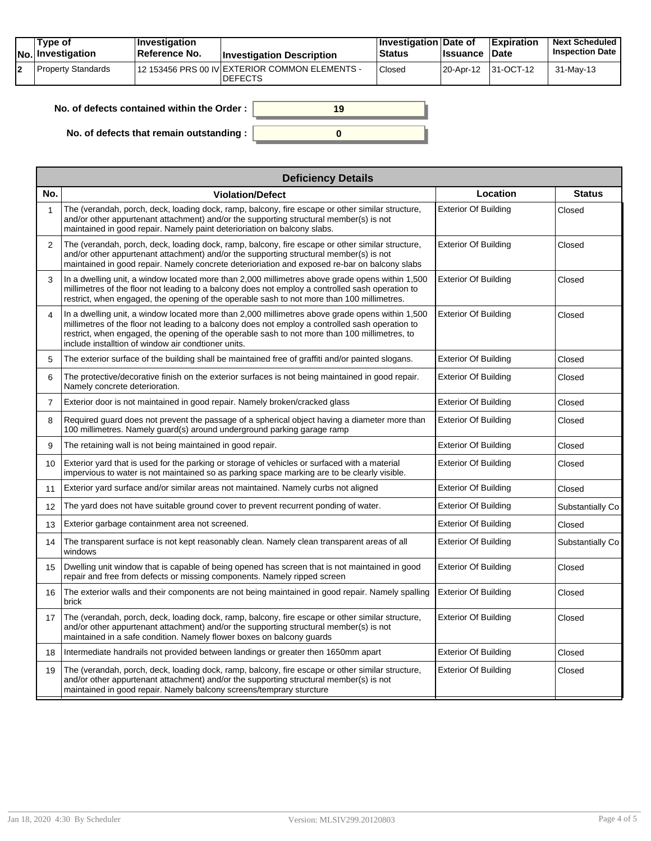| Tvpe of<br>No. Investigation | <b>Investigation</b><br><b>Reference No.</b> | <b>Investigation Description</b>                                 | <b>Investigation Date of</b><br>Status | <b>Issuance Date</b> | <b>Expiration</b>   | <b>Next Scheduled</b><br><b>Inspection Date</b> |
|------------------------------|----------------------------------------------|------------------------------------------------------------------|----------------------------------------|----------------------|---------------------|-------------------------------------------------|
| Property Standards           |                                              | 12 153456 PRS 00 IV EXTERIOR COMMON ELEMENTS -<br><b>DEFECTS</b> | Closed                                 |                      | 20-Apr-12 31-OCT-12 | 31-May-13                                       |

| No. of defects contained within the Order:       | 19 |
|--------------------------------------------------|----|
| No. of defects that remain outstanding : $\vert$ |    |

| <b>Deficiency Details</b> |                                                                                                                                                                                                                                                                                                                                                             |                             |                  |  |  |  |  |
|---------------------------|-------------------------------------------------------------------------------------------------------------------------------------------------------------------------------------------------------------------------------------------------------------------------------------------------------------------------------------------------------------|-----------------------------|------------------|--|--|--|--|
| No.                       | <b>Violation/Defect</b>                                                                                                                                                                                                                                                                                                                                     | Location                    | <b>Status</b>    |  |  |  |  |
| $\mathbf{1}$              | The (verandah, porch, deck, loading dock, ramp, balcony, fire escape or other similar structure,<br>and/or other appurtenant attachment) and/or the supporting structural member(s) is not<br>maintained in good repair. Namely paint deterioriation on balcony slabs.                                                                                      | <b>Exterior Of Building</b> | Closed           |  |  |  |  |
| 2                         | The (verandah, porch, deck, loading dock, ramp, balcony, fire escape or other similar structure,<br>and/or other appurtenant attachment) and/or the supporting structural member(s) is not<br>maintained in good repair. Namely concrete deterioriation and exposed re-bar on balcony slabs                                                                 | <b>Exterior Of Building</b> | Closed           |  |  |  |  |
| 3                         | In a dwelling unit, a window located more than 2,000 millimetres above grade opens within 1,500<br>millimetres of the floor not leading to a balcony does not employ a controlled sash operation to<br>restrict, when engaged, the opening of the operable sash to not more than 100 millimetres.                                                           | <b>Exterior Of Building</b> | Closed           |  |  |  |  |
| $\overline{4}$            | In a dwelling unit, a window located more than 2,000 millimetres above grade opens within 1,500<br>millimetres of the floor not leading to a balcony does not employ a controlled sash operation to<br>restrict, when engaged, the opening of the operable sash to not more than 100 millimetres, to<br>include installtion of window air condtioner units. | <b>Exterior Of Building</b> | Closed           |  |  |  |  |
| 5                         | The exterior surface of the building shall be maintained free of graffiti and/or painted slogans.                                                                                                                                                                                                                                                           | <b>Exterior Of Building</b> | Closed           |  |  |  |  |
| 6                         | The protective/decorative finish on the exterior surfaces is not being maintained in good repair.<br>Namely concrete deterioration.                                                                                                                                                                                                                         | <b>Exterior Of Building</b> | Closed           |  |  |  |  |
| $\overline{7}$            | Exterior door is not maintained in good repair. Namely broken/cracked glass                                                                                                                                                                                                                                                                                 | <b>Exterior Of Building</b> | Closed           |  |  |  |  |
| 8                         | Required guard does not prevent the passage of a spherical object having a diameter more than<br>100 millimetres. Namely guard(s) around underground parking garage ramp                                                                                                                                                                                    | <b>Exterior Of Building</b> | Closed           |  |  |  |  |
| 9                         | The retaining wall is not being maintained in good repair.                                                                                                                                                                                                                                                                                                  | <b>Exterior Of Building</b> | Closed           |  |  |  |  |
| 10                        | Exterior yard that is used for the parking or storage of vehicles or surfaced with a material<br>impervious to water is not maintained so as parking space marking are to be clearly visible.                                                                                                                                                               | <b>Exterior Of Building</b> | Closed           |  |  |  |  |
| 11                        | Exterior yard surface and/or similar areas not maintained. Namely curbs not aligned                                                                                                                                                                                                                                                                         | <b>Exterior Of Building</b> | Closed           |  |  |  |  |
| 12                        | The yard does not have suitable ground cover to prevent recurrent ponding of water.                                                                                                                                                                                                                                                                         | <b>Exterior Of Building</b> | Substantially Co |  |  |  |  |
| 13                        | Exterior garbage containment area not screened.                                                                                                                                                                                                                                                                                                             | <b>Exterior Of Building</b> | Closed           |  |  |  |  |
| 14                        | The transparent surface is not kept reasonably clean. Namely clean transparent areas of all<br>windows                                                                                                                                                                                                                                                      | <b>Exterior Of Building</b> | Substantially Co |  |  |  |  |
| 15                        | Dwelling unit window that is capable of being opened has screen that is not maintained in good<br>repair and free from defects or missing components. Namely ripped screen                                                                                                                                                                                  | <b>Exterior Of Building</b> | Closed           |  |  |  |  |
| 16                        | The exterior walls and their components are not being maintained in good repair. Namely spalling<br>brick                                                                                                                                                                                                                                                   | <b>Exterior Of Building</b> | Closed           |  |  |  |  |
| 17                        | The (verandah, porch, deck, loading dock, ramp, balcony, fire escape or other similar structure,<br>and/or other appurtenant attachment) and/or the supporting structural member(s) is not<br>maintained in a safe condition. Namely flower boxes on balcony guards                                                                                         | <b>Exterior Of Building</b> | Closed           |  |  |  |  |
| 18                        | Intermediate handrails not provided between landings or greater then 1650mm apart                                                                                                                                                                                                                                                                           | <b>Exterior Of Building</b> | Closed           |  |  |  |  |
| 19                        | The (verandah, porch, deck, loading dock, ramp, balcony, fire escape or other similar structure,<br>and/or other appurtenant attachment) and/or the supporting structural member(s) is not<br>maintained in good repair. Namely balcony screens/temprary sturcture                                                                                          | <b>Exterior Of Building</b> | Closed           |  |  |  |  |